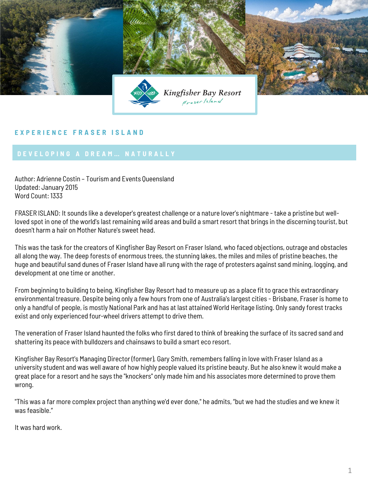

## **E X P E R I E N C E F R A S E R I S L A N D**

Author: Adrienne Costin – Tourism and Events Queensland Updated: January 2015 Word Count: 1333

FRASER ISLAND: It sounds like a developer's greatest challenge or a nature lover's nightmare - take a pristine but wellloved spot in one of the world's last remaining wild areas and build a smart resort that brings in the discerning tourist, but doesn't harm a hair on Mother Nature's sweet head.

This was the task for the creators of Kingfisher Bay Resort on Fraser Island, who faced objections, outrage and obstacles all along the way. The deep forests of enormous trees, the stunning lakes, the miles and miles of pristine beaches, the huge and beautiful sand dunes of Fraser Island have all rung with the rage of protesters against sand mining, logging, and development at one time or another.

From beginning to building to being, Kingfisher Bay Resort had to measure up as a place fit to grace this extraordinary environmental treasure. Despite being only a few hours from one of Australia's largest cities - Brisbane, Fraser is home to only a handful of people, is mostly National Park and has at last attained World Heritage listing. Only sandy forest tracks exist and only experienced four-wheel drivers attempt to drive them.

The veneration of Fraser Island haunted the folks who first dared to think of breaking the surface of its sacred sand and shattering its peace with bulldozers and chainsaws to build a smart eco resort.

Kingfisher Bay Resort's Managing Director (former), Gary Smith, remembers falling in love with Fraser Island as a university student and was well aware of how highly people valued its pristine beauty. But he also knew it would make a great place for a resort and he says the "knockers" only made him and his associates more determined to prove them wrong.

"This was a far more complex project than anything we'd ever done," he admits, "but we had the studies and we knew it was feasible."

It was hard work.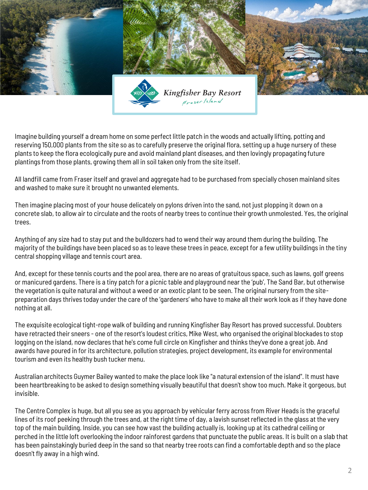

Imagine building yourself a dream home on some perfect little patch in the woods and actually lifting, potting and reserving 150,000 plants from the site so as to carefully preserve the original flora, setting up a huge nursery of these plants to keep the flora ecologically pure and avoid mainland plant diseases, and then lovingly propagating future plantings from those plants, growing them all in soil taken only from the site itself.

All landfill came from Fraser itself and gravel and aggregate had to be purchased from specially chosen mainland sites and washed to make sure it brought no unwanted elements.

Then imagine placing most of your house delicately on pylons driven into the sand, not just plopping it down on a concrete slab, to allow air to circulate and the roots of nearby trees to continue their growth unmolested. Yes, the original trees.

Anything of any size had to stay put and the bulldozers had to wend their way around them during the building. The majority of the buildings have been placed so as to leave these trees in peace, except for a few utility buildings in the tiny central shopping village and tennis court area.

And, except for these tennis courts and the pool area, there are no areas of gratuitous space, such as lawns, golf greens or manicured gardens. There is a tiny patch for a picnic table and playground near the 'pub', The Sand Bar, but otherwise the vegetation is quite natural and without a weed or an exotic plant to be seen. The original nursery from the sitepreparation days thrives today under the care of the 'gardeners' who have to make all their work look as if they have done nothing at all.

The exquisite ecological tight-rope walk of building and running Kingfisher Bay Resort has proved successful. Doubters have retracted their sneers - one of the resort's loudest critics, Mike West, who organised the original blockades to stop logging on the island, now declares that he's come full circle on Kingfisher and thinks they've done a great job. And awards have poured in for its architecture, pollution strategies, project development, its example for environmental tourism and even its healthy bush tucker menu.

Australian architects Guymer Bailey wanted to make the place look like "a natural extension of the island". It must have been heartbreaking to be asked to design something visually beautiful that doesn't show too much. Make it gorgeous, but invisible.

The Centre Complex is huge, but all you see as you approach by vehicular ferry across from River Heads is the graceful lines of its roof peeking through the trees and, at the right time of day, a lavish sunset reflected in the glass at the very top of the main building. Inside, you can see how vast the building actually is, looking up at its cathedral ceiling or perched in the little loft overlooking the indoor rainforest gardens that punctuate the public areas. It is built on a slab that has been painstakingly buried deep in the sand so that nearby tree roots can find a comfortable depth and so the place doesn't fly away in a high wind.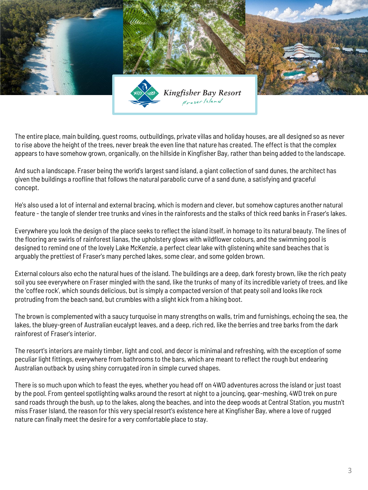

The entire place, main building, guest rooms, outbuildings, private villas and holiday houses, are all designed so as never to rise above the height of the trees, never break the even line that nature has created. The effect is that the complex appears to have somehow grown, organically, on the hillside in Kingfisher Bay, rather than being added to the landscape.

And such a landscape. Fraser being the world's largest sand island, a giant collection of sand dunes, the architect has given the buildings a roofline that follows the natural parabolic curve of a sand dune, a satisfying and graceful concept.

He's also used a lot of internal and external bracing, which is modern and clever, but somehow captures another natural feature - the tangle of slender tree trunks and vines in the rainforests and the stalks of thick reed banks in Fraser's lakes.

Everywhere you look the design of the place seeks to reflect the island itself, in homage to its natural beauty. The lines of the flooring are swirls of rainforest lianas, the upholstery glows with wildflower colours, and the swimming pool is designed to remind one of the lovely Lake McKenzie, a perfect clear lake with glistening white sand beaches that is arguably the prettiest of Fraser's many perched lakes, some clear, and some golden brown.

External colours also echo the natural hues of the island. The buildings are a deep, dark foresty brown, like the rich peaty soil you see everywhere on Fraser mingled with the sand, like the trunks of many of its incredible variety of trees, and like the 'coffee rock', which sounds delicious, but is simply a compacted version of that peaty soil and looks like rock protruding from the beach sand, but crumbles with a slight kick from a hiking boot.

The brown is complemented with a saucy turquoise in many strengths on walls, trim and furnishings, echoing the sea, the lakes, the bluey-green of Australian eucalypt leaves, and a deep, rich red, like the berries and tree barks from the dark rainforest of Fraser's interior.

The resort's interiors are mainly timber, light and cool, and decor is minimal and refreshing, with the exception of some peculiar light fittings, everywhere from bathrooms to the bars, which are meant to reflect the rough but endearing Australian outback by using shiny corrugated iron in simple curved shapes.

There is so much upon which to feast the eyes, whether you head off on 4WD adventures across the island or just toast by the pool. From genteel spotlighting walks around the resort at night to a jouncing, gear-meshing, 4WD trek on pure sand roads through the bush, up to the lakes, along the beaches, and into the deep woods at Central Station, you mustn't miss Fraser Island, the reason for this very special resort's existence here at Kingfisher Bay, where a love of rugged nature can finally meet the desire for a very comfortable place to stay.